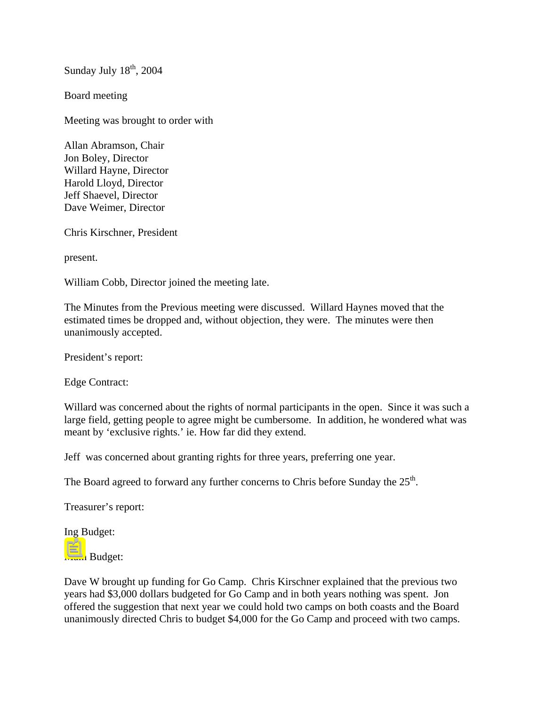Sunday July  $18<sup>th</sup>$ , 2004

Board meeting

Meeting was brought to order with

Allan Abramson, Chair Jon Boley, Director Willard Hayne, Director Harold Lloyd, Director Jeff Shaevel, Director Dave Weimer, Director

Chris Kirschner, President

present.

William Cobb, Director joined the meeting late.

The Minutes from the Previous meeting were discussed. Willard Haynes moved that the estimated times be dropped and, without objection, they were. The minutes were then unanimously accepted.

President's report:

Edge Contract:

Willard was concerned about the rights of normal participants in the open. Since it was such a large field, getting people to agree might be cumbersome. In addition, he wondered what was meant by 'exclusive rights.' ie. How far did they extend.

Jeff was concerned about granting rights for three years, preferring one year.

The Board agreed to forward any further concerns to Chris before Sunday the  $25<sup>th</sup>$ .

Treasurer's report:

Ing Budget:

Main Budget:

Dave W brought up funding for Go Camp. Chris Kirschner explained that the previous two years had \$3,000 dollars budgeted for Go Camp and in both years nothing was spent. Jon offered the suggestion that next year we could hold two camps on both coasts and the Board unanimously directed Chris to budget \$4,000 for the Go Camp and proceed with two camps.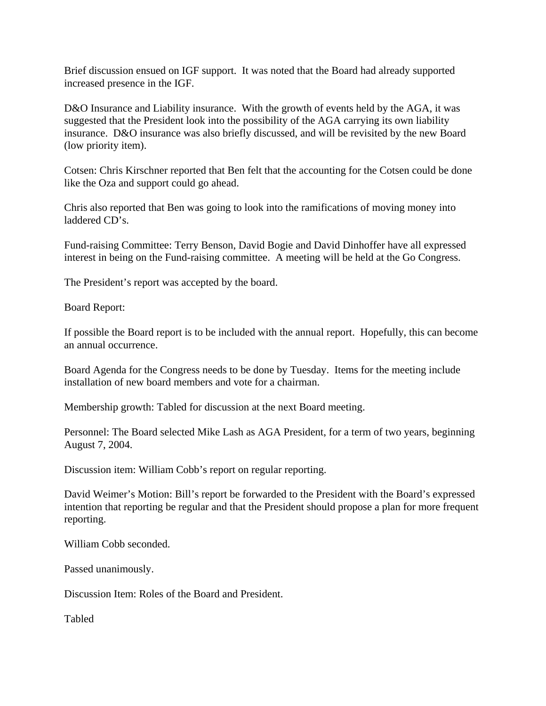Brief discussion ensued on IGF support. It was noted that the Board had already supported increased presence in the IGF.

D&O Insurance and Liability insurance. With the growth of events held by the AGA, it was suggested that the President look into the possibility of the AGA carrying its own liability insurance. D&O insurance was also briefly discussed, and will be revisited by the new Board (low priority item).

Cotsen: Chris Kirschner reported that Ben felt that the accounting for the Cotsen could be done like the Oza and support could go ahead.

Chris also reported that Ben was going to look into the ramifications of moving money into laddered CD's.

Fund-raising Committee: Terry Benson, David Bogie and David Dinhoffer have all expressed interest in being on the Fund-raising committee. A meeting will be held at the Go Congress.

The President's report was accepted by the board.

Board Report:

If possible the Board report is to be included with the annual report. Hopefully, this can become an annual occurrence.

Board Agenda for the Congress needs to be done by Tuesday. Items for the meeting include installation of new board members and vote for a chairman.

Membership growth: Tabled for discussion at the next Board meeting.

Personnel: The Board selected Mike Lash as AGA President, for a term of two years, beginning August 7, 2004.

Discussion item: William Cobb's report on regular reporting.

David Weimer's Motion: Bill's report be forwarded to the President with the Board's expressed intention that reporting be regular and that the President should propose a plan for more frequent reporting.

William Cobb seconded.

Passed unanimously.

Discussion Item: Roles of the Board and President.

Tabled